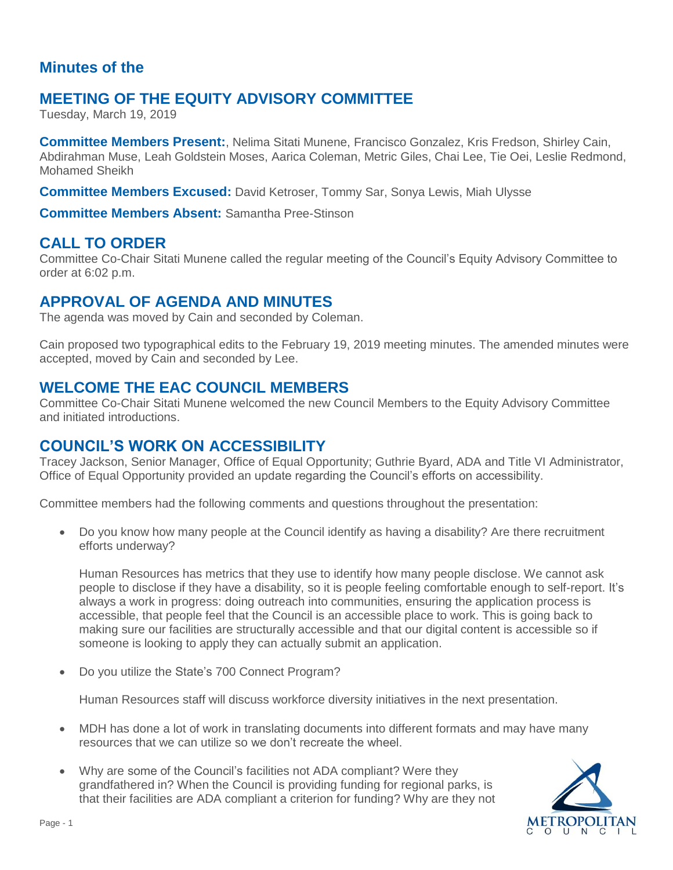# **Minutes of the**

# **MEETING OF THE EQUITY ADVISORY COMMITTEE**

Tuesday, March 19, 2019

**Committee Members Present:**, Nelima Sitati Munene, Francisco Gonzalez, Kris Fredson, Shirley Cain, Abdirahman Muse, Leah Goldstein Moses, Aarica Coleman, Metric Giles, Chai Lee, Tie Oei, Leslie Redmond, Mohamed Sheikh

**Committee Members Excused:** David Ketroser, Tommy Sar, Sonya Lewis, Miah Ulysse

**Committee Members Absent:** Samantha Pree-Stinson

# **CALL TO ORDER**

Committee Co-Chair Sitati Munene called the regular meeting of the Council's Equity Advisory Committee to order at 6:02 p.m.

## **APPROVAL OF AGENDA AND MINUTES**

The agenda was moved by Cain and seconded by Coleman.

Cain proposed two typographical edits to the February 19, 2019 meeting minutes. The amended minutes were accepted, moved by Cain and seconded by Lee.

## **WELCOME THE EAC COUNCIL MEMBERS**

Committee Co-Chair Sitati Munene welcomed the new Council Members to the Equity Advisory Committee and initiated introductions.

# **COUNCIL'S WORK ON ACCESSIBILITY**

Tracey Jackson, Senior Manager, Office of Equal Opportunity; Guthrie Byard, ADA and Title VI Administrator, Office of Equal Opportunity provided an update regarding the Council's efforts on accessibility.

Committee members had the following comments and questions throughout the presentation:

• Do you know how many people at the Council identify as having a disability? Are there recruitment efforts underway?

Human Resources has metrics that they use to identify how many people disclose. We cannot ask people to disclose if they have a disability, so it is people feeling comfortable enough to self-report. It's always a work in progress: doing outreach into communities, ensuring the application process is accessible, that people feel that the Council is an accessible place to work. This is going back to making sure our facilities are structurally accessible and that our digital content is accessible so if someone is looking to apply they can actually submit an application.

• Do you utilize the State's 700 Connect Program?

Human Resources staff will discuss workforce diversity initiatives in the next presentation.

- MDH has done a lot of work in translating documents into different formats and may have many resources that we can utilize so we don't recreate the wheel.
- Why are some of the Council's facilities not ADA compliant? Were they grandfathered in? When the Council is providing funding for regional parks, is that their facilities are ADA compliant a criterion for funding? Why are they not

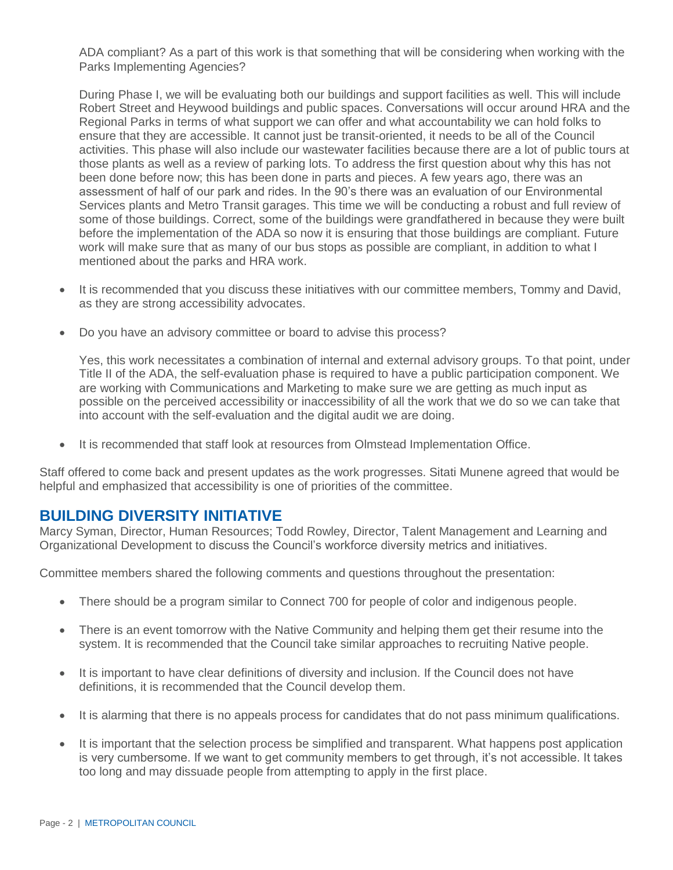ADA compliant? As a part of this work is that something that will be considering when working with the Parks Implementing Agencies?

During Phase I, we will be evaluating both our buildings and support facilities as well. This will include Robert Street and Heywood buildings and public spaces. Conversations will occur around HRA and the Regional Parks in terms of what support we can offer and what accountability we can hold folks to ensure that they are accessible. It cannot just be transit-oriented, it needs to be all of the Council activities. This phase will also include our wastewater facilities because there are a lot of public tours at those plants as well as a review of parking lots. To address the first question about why this has not been done before now; this has been done in parts and pieces. A few years ago, there was an assessment of half of our park and rides. In the 90's there was an evaluation of our Environmental Services plants and Metro Transit garages. This time we will be conducting a robust and full review of some of those buildings. Correct, some of the buildings were grandfathered in because they were built before the implementation of the ADA so now it is ensuring that those buildings are compliant. Future work will make sure that as many of our bus stops as possible are compliant, in addition to what I mentioned about the parks and HRA work.

- It is recommended that you discuss these initiatives with our committee members, Tommy and David, as they are strong accessibility advocates.
- Do you have an advisory committee or board to advise this process?

Yes, this work necessitates a combination of internal and external advisory groups. To that point, under Title II of the ADA, the self-evaluation phase is required to have a public participation component. We are working with Communications and Marketing to make sure we are getting as much input as possible on the perceived accessibility or inaccessibility of all the work that we do so we can take that into account with the self-evaluation and the digital audit we are doing.

It is recommended that staff look at resources from Olmstead Implementation Office.

Staff offered to come back and present updates as the work progresses. Sitati Munene agreed that would be helpful and emphasized that accessibility is one of priorities of the committee.

## **BUILDING DIVERSITY INITIATIVE**

Marcy Syman, Director, Human Resources; Todd Rowley, Director, Talent Management and Learning and Organizational Development to discuss the Council's workforce diversity metrics and initiatives.

Committee members shared the following comments and questions throughout the presentation:

- There should be a program similar to Connect 700 for people of color and indigenous people.
- There is an event tomorrow with the Native Community and helping them get their resume into the system. It is recommended that the Council take similar approaches to recruiting Native people.
- It is important to have clear definitions of diversity and inclusion. If the Council does not have definitions, it is recommended that the Council develop them.
- It is alarming that there is no appeals process for candidates that do not pass minimum qualifications.
- It is important that the selection process be simplified and transparent. What happens post application is very cumbersome. If we want to get community members to get through, it's not accessible. It takes too long and may dissuade people from attempting to apply in the first place.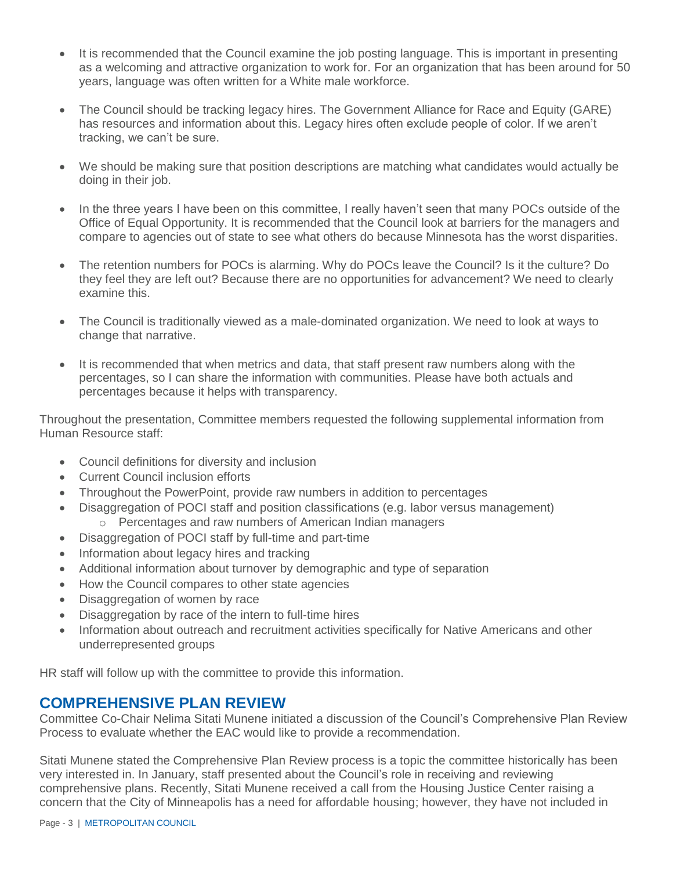- It is recommended that the Council examine the job posting language. This is important in presenting as a welcoming and attractive organization to work for. For an organization that has been around for 50 years, language was often written for a White male workforce.
- The Council should be tracking legacy hires. The Government Alliance for Race and Equity (GARE) has resources and information about this. Legacy hires often exclude people of color. If we aren't tracking, we can't be sure.
- We should be making sure that position descriptions are matching what candidates would actually be doing in their job.
- In the three years I have been on this committee, I really haven't seen that many POCs outside of the Office of Equal Opportunity. It is recommended that the Council look at barriers for the managers and compare to agencies out of state to see what others do because Minnesota has the worst disparities.
- The retention numbers for POCs is alarming. Why do POCs leave the Council? Is it the culture? Do they feel they are left out? Because there are no opportunities for advancement? We need to clearly examine this.
- The Council is traditionally viewed as a male-dominated organization. We need to look at ways to change that narrative.
- It is recommended that when metrics and data, that staff present raw numbers along with the percentages, so I can share the information with communities. Please have both actuals and percentages because it helps with transparency.

Throughout the presentation, Committee members requested the following supplemental information from Human Resource staff:

- Council definitions for diversity and inclusion
- **Current Council inclusion efforts**
- Throughout the PowerPoint, provide raw numbers in addition to percentages
- Disaggregation of POCI staff and position classifications (e.g. labor versus management) o Percentages and raw numbers of American Indian managers
- Disaggregation of POCI staff by full-time and part-time
- Information about legacy hires and tracking
- Additional information about turnover by demographic and type of separation
- How the Council compares to other state agencies
- Disaggregation of women by race
- Disaggregation by race of the intern to full-time hires
- Information about outreach and recruitment activities specifically for Native Americans and other underrepresented groups

HR staff will follow up with the committee to provide this information.

### **COMPREHENSIVE PLAN REVIEW**

Committee Co-Chair Nelima Sitati Munene initiated a discussion of the Council's Comprehensive Plan Review Process to evaluate whether the EAC would like to provide a recommendation.

Sitati Munene stated the Comprehensive Plan Review process is a topic the committee historically has been very interested in. In January, staff presented about the Council's role in receiving and reviewing comprehensive plans. Recently, Sitati Munene received a call from the Housing Justice Center raising a concern that the City of Minneapolis has a need for affordable housing; however, they have not included in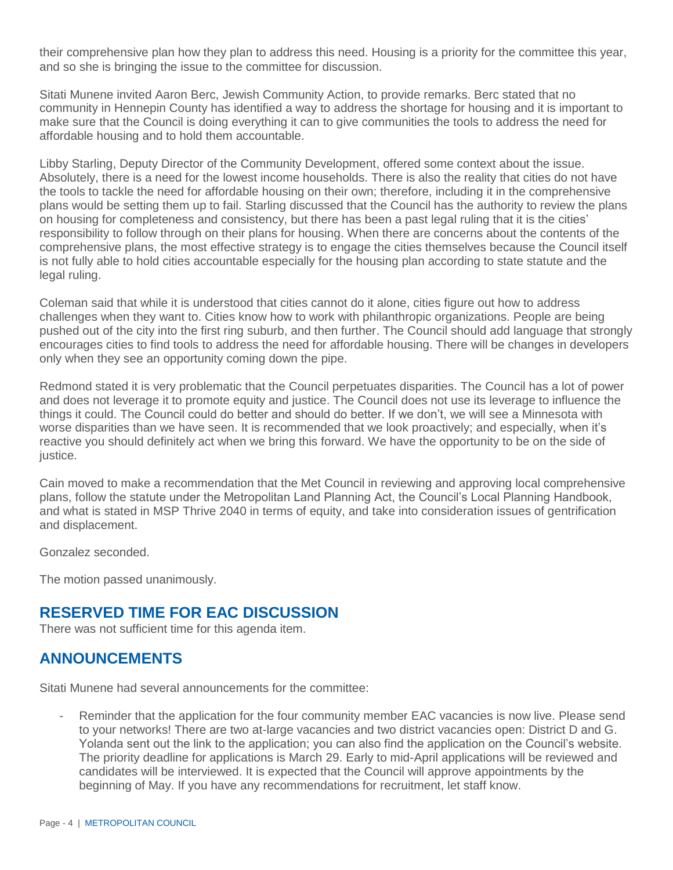their comprehensive plan how they plan to address this need. Housing is a priority for the committee this year, and so she is bringing the issue to the committee for discussion.

Sitati Munene invited Aaron Berc, Jewish Community Action, to provide remarks. Berc stated that no community in Hennepin County has identified a way to address the shortage for housing and it is important to make sure that the Council is doing everything it can to give communities the tools to address the need for affordable housing and to hold them accountable.

Libby Starling, Deputy Director of the Community Development, offered some context about the issue. Absolutely, there is a need for the lowest income households. There is also the reality that cities do not have the tools to tackle the need for affordable housing on their own; therefore, including it in the comprehensive plans would be setting them up to fail. Starling discussed that the Council has the authority to review the plans on housing for completeness and consistency, but there has been a past legal ruling that it is the cities' responsibility to follow through on their plans for housing. When there are concerns about the contents of the comprehensive plans, the most effective strategy is to engage the cities themselves because the Council itself is not fully able to hold cities accountable especially for the housing plan according to state statute and the legal ruling.

Coleman said that while it is understood that cities cannot do it alone, cities figure out how to address challenges when they want to. Cities know how to work with philanthropic organizations. People are being pushed out of the city into the first ring suburb, and then further. The Council should add language that strongly encourages cities to find tools to address the need for affordable housing. There will be changes in developers only when they see an opportunity coming down the pipe.

Redmond stated it is very problematic that the Council perpetuates disparities. The Council has a lot of power and does not leverage it to promote equity and justice. The Council does not use its leverage to influence the things it could. The Council could do better and should do better. If we don't, we will see a Minnesota with worse disparities than we have seen. It is recommended that we look proactively; and especially, when it's reactive you should definitely act when we bring this forward. We have the opportunity to be on the side of justice.

Cain moved to make a recommendation that the Met Council in reviewing and approving local comprehensive plans, follow the statute under the Metropolitan Land Planning Act, the Council's Local Planning Handbook, and what is stated in MSP Thrive 2040 in terms of equity, and take into consideration issues of gentrification and displacement.

Gonzalez seconded.

The motion passed unanimously.

### **RESERVED TIME FOR EAC DISCUSSION**

There was not sufficient time for this agenda item.

### **ANNOUNCEMENTS**

Sitati Munene had several announcements for the committee:

Reminder that the application for the four community member EAC vacancies is now live. Please send to your networks! There are two at-large vacancies and two district vacancies open: District D and G. Yolanda sent out the link to the application; you can also find the application on the Council's website. The priority deadline for applications is March 29. Early to mid-April applications will be reviewed and candidates will be interviewed. It is expected that the Council will approve appointments by the beginning of May. If you have any recommendations for recruitment, let staff know.